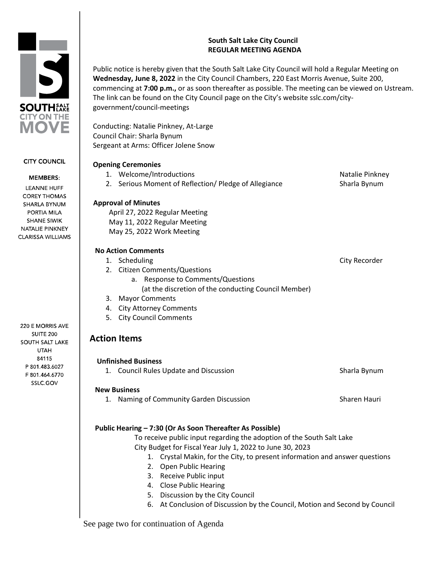# **South Salt Lake City Council REGULAR MEETING AGENDA**

Public notice is hereby given that the South Salt Lake City Council will hold a Regular Meeting on **Wednesday, June 8, 2022** in the City Council Chambers, 220 East Morris Avenue, Suite 200, commencing at **7:00 p.m.,** or as soon thereafter as possible. The meeting can be viewed on Ustream. The link can be found on the City Council page on the City's website sslc.com/citygovernment/council-meetings

Conducting: Natalie Pinkney, At-Large Council Chair: Sharla Bynum Sergeant at Arms: Officer Jolene Snow

**SOUTHEARE CITY ON THE** OVE

**CITY COUNCIL** 

**MEMBERS: LEANNE HUFF COREY THOMAS** SHARLA BYNUM PORTIA MILA **SHANE SIWIK** NATALIE PINKNEY **CLARISSA WILLIAMS** 

220 E MORRIS AVE **SUITE 200 SOUTH SALT LAKE UTAH** 84115 P 801.483.6027 F 801.464.6770 SSLC.GOV

| <b>Opening Ceremonies</b>                             |                 |
|-------------------------------------------------------|-----------------|
| 1. Welcome/Introductions                              | Natalie Pinkney |
| 2. Serious Moment of Reflection/ Pledge of Allegiance | Sharla Bynum    |
| <b>Approval of Minutes</b>                            |                 |
| April 27, 2022 Regular Meeting                        |                 |
| May 11, 2022 Regular Meeting                          |                 |
| May 25, 2022 Work Meeting                             |                 |
| <b>No Action Comments</b>                             |                 |
| 1. Scheduling                                         | City Recorder   |
| 2. Citizen Comments/Questions                         |                 |
| a. Response to Comments/Questions                     |                 |
| (at the discretion of the conducting Council Member)  |                 |
| <b>Mayor Comments</b><br>3.                           |                 |
| 4. City Attorney Comments                             |                 |
| <b>City Council Comments</b><br>5.                    |                 |
| <b>Action Items</b>                                   |                 |
| <b>Unfinished Business</b>                            |                 |
| 1. Council Rules Update and Discussion                | Sharla Bynum    |
| <b>New Business</b>                                   |                 |
| Naming of Community Garden Discussion<br>1.           | Sharen Hauri    |

# **Public Hearing – 7:30 (Or As Soon Thereafter As Possible)**

To receive public input regarding the adoption of the South Salt Lake City Budget for Fiscal Year July 1, 2022 to June 30, 2023

- 1. Crystal Makin, for the City, to present information and answer questions
- 2. Open Public Hearing
- 3. Receive Public input
- 4. Close Public Hearing
- 5. Discussion by the City Council
- 6. At Conclusion of Discussion by the Council, Motion and Second by Council

See page two for continuation of Agenda